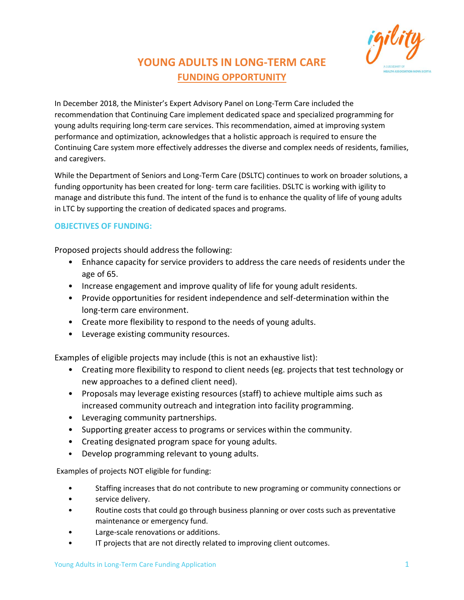

## **YOUNG ADULTS IN LONG-TERM CARE FUNDING OPPORTUNITY**

In December 2018, the Minister's Expert Advisory Panel on Long-Term Care included the recommendation that Continuing Care implement dedicated space and specialized programming for young adults requiring long-term care services. This recommendation, aimed at improving system performance and optimization, acknowledges that a holistic approach is required to ensure the Continuing Care system more effectively addresses the diverse and complex needs of residents, families, and caregivers.

While the Department of Seniors and Long-Term Care (DSLTC) continues to work on broader solutions, a funding opportunity has been created for long- term care facilities. DSLTC is working with igility to manage and distribute this fund. The intent of the fund is to enhance the quality of life of young adults in LTC by supporting the creation of dedicated spaces and programs.

## **OBJECTIVES OF FUNDING:**

Proposed projects should address the following:

- Enhance capacity for service providers to address the care needs of residents under the age of 65.
- Increase engagement and improve quality of life for young adult residents.
- Provide opportunities for resident independence and self-determination within the long-term care environment.
- Create more flexibility to respond to the needs of young adults.
- Leverage existing community resources.

Examples of eligible projects may include (this is not an exhaustive list):

- Creating more flexibility to respond to client needs (eg. projects that test technology or new approaches to a defined client need).
- Proposals may leverage existing resources (staff) to achieve multiple aims such as increased community outreach and integration into facility programming.
- Leveraging community partnerships.
- Supporting greater access to programs or services within the community.
- Creating designated program space for young adults.
- Develop programming relevant to young adults.

Examples of projects NOT eligible for funding:

- Staffing increases that do not contribute to new programing or community connections or
- service delivery.
- Routine costs that could go through business planning or over costs such as preventative maintenance or emergency fund.
- Large-scale renovations or additions.
- IT projects that are not directly related to improving client outcomes.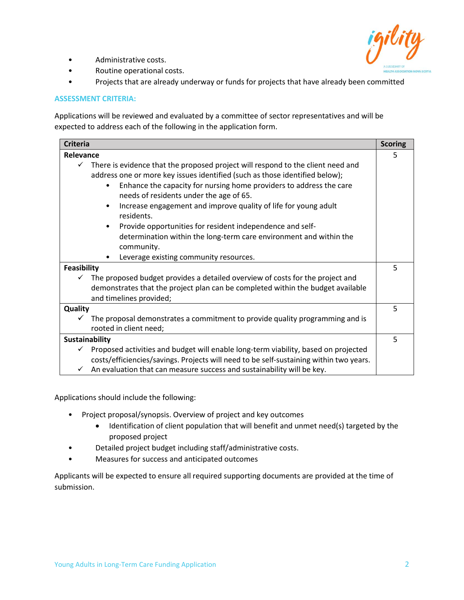

- Administrative costs.
- Routine operational costs.
- Projects that are already underway or funds for projects that have already been committed

#### **ASSESSMENT CRITERIA:**

Applications will be reviewed and evaluated by a committee of sector representatives and will be expected to address each of the following in the application form.

| <b>Criteria</b>    |                                                                                                                                                                                                                                                                                                                                                                                                                                                                                                                                                   | <b>Scoring</b> |
|--------------------|---------------------------------------------------------------------------------------------------------------------------------------------------------------------------------------------------------------------------------------------------------------------------------------------------------------------------------------------------------------------------------------------------------------------------------------------------------------------------------------------------------------------------------------------------|----------------|
| Relevance          |                                                                                                                                                                                                                                                                                                                                                                                                                                                                                                                                                   | 5              |
| $\checkmark$       | There is evidence that the proposed project will respond to the client need and<br>address one or more key issues identified (such as those identified below);<br>Enhance the capacity for nursing home providers to address the care<br>$\bullet$<br>needs of residents under the age of 65.<br>Increase engagement and improve quality of life for young adult<br>$\bullet$<br>residents.<br>Provide opportunities for resident independence and self-<br>٠<br>determination within the long-term care environment and within the<br>community. |                |
|                    | Leverage existing community resources.<br>٠                                                                                                                                                                                                                                                                                                                                                                                                                                                                                                       |                |
| <b>Feasibility</b> |                                                                                                                                                                                                                                                                                                                                                                                                                                                                                                                                                   | 5              |
|                    | The proposed budget provides a detailed overview of costs for the project and<br>demonstrates that the project plan can be completed within the budget available<br>and timelines provided;                                                                                                                                                                                                                                                                                                                                                       |                |
| Quality            |                                                                                                                                                                                                                                                                                                                                                                                                                                                                                                                                                   | 5              |
| ✓                  | The proposal demonstrates a commitment to provide quality programming and is<br>rooted in client need;                                                                                                                                                                                                                                                                                                                                                                                                                                            |                |
| Sustainability     |                                                                                                                                                                                                                                                                                                                                                                                                                                                                                                                                                   | 5              |
| ✓                  | Proposed activities and budget will enable long-term viability, based on projected<br>costs/efficiencies/savings. Projects will need to be self-sustaining within two years.<br>An evaluation that can measure success and sustainability will be key.                                                                                                                                                                                                                                                                                            |                |

Applications should include the following:

- Project proposal/synopsis. Overview of project and key outcomes
	- Identification of client population that will benefit and unmet need(s) targeted by the proposed project
	- Detailed project budget including staff/administrative costs.
- Measures for success and anticipated outcomes

Applicants will be expected to ensure all required supporting documents are provided at the time of submission.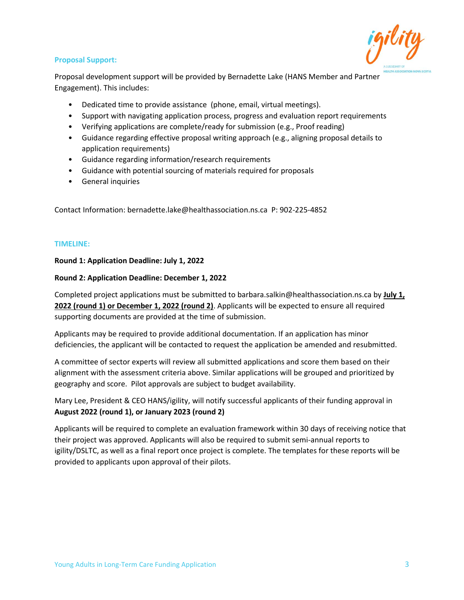#### **Proposal Support:**



Proposal development support will be provided by Bernadette Lake (HANS Member and Partner Engagement). This includes:

- Dedicated time to provide assistance (phone, email, virtual meetings).
- Support with navigating application process, progress and evaluation report requirements
- Verifying applications are complete/ready for submission (e.g., Proof reading)
- Guidance regarding effective proposal writing approach (e.g., aligning proposal details to application requirements)
- Guidance regarding information/research requirements
- Guidance with potential sourcing of materials required for proposals
- General inquiries

Contact Information: bernadette.lake@healthassociation.ns.ca P: 902-225-4852

#### **TIMELINE:**

#### **Round 1: Application Deadline: July 1, 2022**

#### **Round 2: Application Deadline: December 1, 2022**

Completed project applications must be submitted to barbara.salkin@healthassociation.ns.ca by **July 1, 2022 (round 1) or December 1, 2022 (round 2)**. Applicants will be expected to ensure all required supporting documents are provided at the time of submission.

Applicants may be required to provide additional documentation. If an application has minor deficiencies, the applicant will be contacted to request the application be amended and resubmitted.

A committee of sector experts will review all submitted applications and score them based on their alignment with the assessment criteria above. Similar applications will be grouped and prioritized by geography and score. Pilot approvals are subject to budget availability.

Mary Lee, President & CEO HANS/igility, will notify successful applicants of their funding approval in **August 2022 (round 1), or January 2023 (round 2)**

Applicants will be required to complete an evaluation framework within 30 days of receiving notice that their project was approved. Applicants will also be required to submit semi-annual reports to igility/DSLTC, as well as a final report once project is complete. The templates for these reports will be provided to applicants upon approval of their pilots.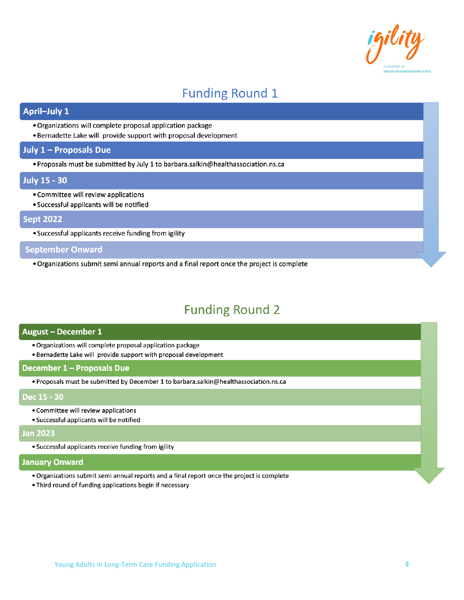

# **Funding Round 1**

## **April-July 1**

- · Organizations will complete proposal application package
- . Bernadette Lake will provide support with proposal development

#### July 1 - Proposals Due

. Proposals must be submitted by July 1 to barbara.salkin@healthassociation.ns.ca

#### **July 15 - 30**

- Committee will review applications
- Successful applicants will be notified

### **Sept 2022**

• Successful applicants receive funding from igility

## **September Onward**

. Organizations submit semi annual reports and a final report once the project is complete

# **Funding Round 2**

#### August - December 1

- · Organizations will complete proposal application package
- . Bernadette Lake will provide support with proposal development

#### December 1 - Proposals Due

· Proposals must be submitted by December 1 to barbara.salkin@healthassociation.ns.ca

#### Dec 15 - 30

- Committee will review applications
- · Successful applicants will be notified

#### **Jan 2023**

· Successful applicants receive funding from igility

#### **January Onward**

- . Organizations submit semi annual reports and a final report once the project is complete
- . Third round of funding applications begin if necessary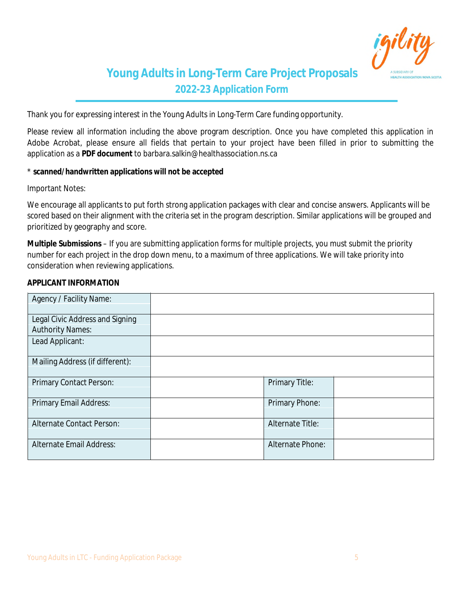

## **Young Adults in Long-Term Care Project Proposals 2022-23 Application Form**

Thank you for expressing interest in the Young Adults in Long-Term Care funding opportunity.

Please review all information including the above program description. Once you have completed this application in Adobe Acrobat, please ensure all fields that pertain to your project have been filled in prior to submitting the application as a **PDF document** to barbara.salkin@healthassociation.ns.ca

#### \* **scanned/handwritten applications will not be accepted**

Important Notes:

We encourage all applicants to put forth strong application packages with clear and concise answers. Applicants will be scored based on their alignment with the criteria set in the program description. Similar applications will be grouped and prioritized by geography and score.

**Multiple Submissions** – If you are submitting application forms for multiple projects, you must submit the priority number for each project in the drop down menu, to a maximum of three applications. We will take priority into consideration when reviewing applications.

#### **APPLICANT INFORMATION**

| <b>Agency / Facility Name:</b>         |                         |  |
|----------------------------------------|-------------------------|--|
|                                        |                         |  |
| <b>Legal Civic Address and Signing</b> |                         |  |
| <b>Authority Names:</b>                |                         |  |
| <b>Lead Applicant:</b>                 |                         |  |
| <b>Mailing Address (if different):</b> |                         |  |
| <b>Primary Contact Person:</b>         | <b>Primary Title:</b>   |  |
| <b>Primary Email Address:</b>          | <b>Primary Phone:</b>   |  |
| <b>Alternate Contact Person:</b>       | <b>Alternate Title:</b> |  |
| <b>Alternate Email Address:</b>        | <b>Alternate Phone:</b> |  |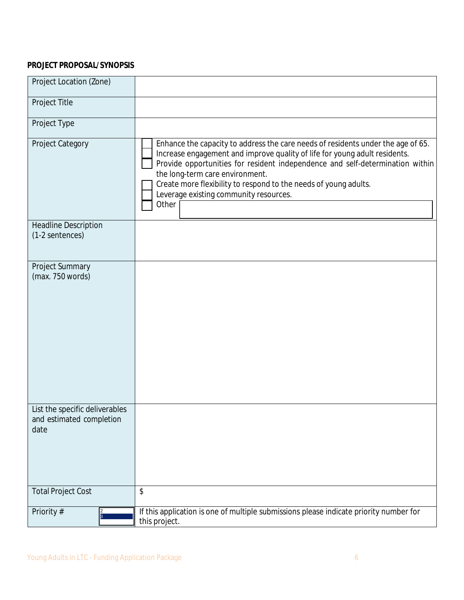## **PROJECT PROPOSAL/SYNOPSIS**

| <b>Project Location (Zone)</b>                                     |                                                                                                                                                                                                                                                                                                                                                                                                                  |
|--------------------------------------------------------------------|------------------------------------------------------------------------------------------------------------------------------------------------------------------------------------------------------------------------------------------------------------------------------------------------------------------------------------------------------------------------------------------------------------------|
| <b>Project Title</b>                                               |                                                                                                                                                                                                                                                                                                                                                                                                                  |
| <b>Project Type</b>                                                |                                                                                                                                                                                                                                                                                                                                                                                                                  |
| <b>Project Category</b>                                            | Enhance the capacity to address the care needs of residents under the age of 65.<br>Increase engagement and improve quality of life for young adult residents.<br>Provide opportunities for resident independence and self-determination within<br>the long-term care environment.<br>Create more flexibility to respond to the needs of young adults.<br>Leverage existing community resources.<br><b>Other</b> |
| <b>Headline Description</b><br>(1-2 sentences)                     |                                                                                                                                                                                                                                                                                                                                                                                                                  |
| <b>Project Summary</b><br>(max. 750 words)                         |                                                                                                                                                                                                                                                                                                                                                                                                                  |
| List the specific deliverables<br>and estimated completion<br>date |                                                                                                                                                                                                                                                                                                                                                                                                                  |
| <b>Total Project Cost</b>                                          | $\mathbf{\hat{S}}$                                                                                                                                                                                                                                                                                                                                                                                               |
| $\frac{2}{3}$<br><b>Priority#</b>                                  | If this application is one of multiple submissions please indicate priority number for<br>this project.                                                                                                                                                                                                                                                                                                          |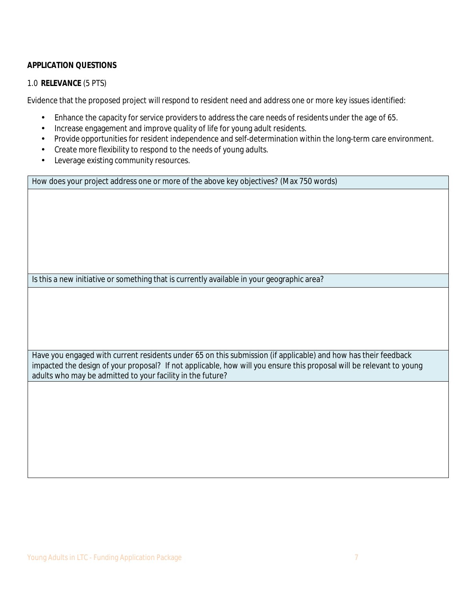### **APPLICATION QUESTIONS**

#### 1.0 **RELEVANCE** (5 PTS)

Evidence that the proposed project will respond to resident need and address one or more key issues identified:

- Enhance the capacity for service providers to address the care needs of residents under the age of 65.
- Increase engagement and improve quality of life for young adult residents.
- Provide opportunities for resident independence and self-determination within the long-term care environment.
- Create more flexibility to respond to the needs of young adults.
- Leverage existing community resources.

How does your project address one or more of the above key objectives? (Max 750 words)

Is this a new initiative or something that is currently available in your geographic area?

Have you engaged with current residents under 65 on this submission (if applicable) and how has their feedback impacted the design of your proposal? If not applicable, how will you ensure this proposal will be relevant to young adults who may be admitted to your facility in the future?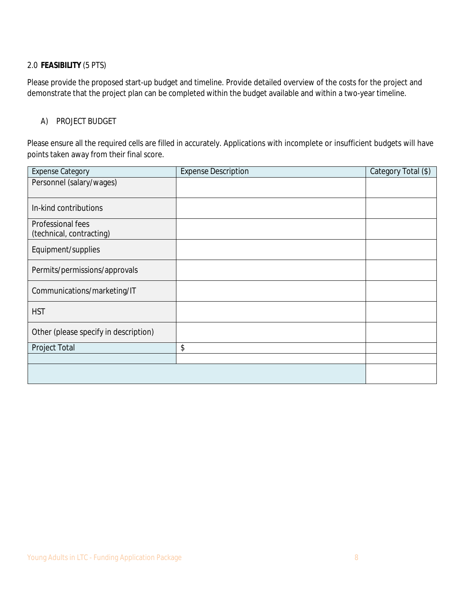## 2.0 **FEASIBILITY** (5 PTS)

Please provide the proposed start-up budget and timeline. Provide detailed overview of the costs for the project and demonstrate that the project plan can be completed within the budget available and within a two-year timeline.

#### A) PROJECT BUDGET

Please ensure all the required cells are filled in accurately. Applications with incomplete or insufficient budgets will have points taken away from their final score.

| <b>Expense Category</b>                              | <b>Expense Description</b> | <b>Category Total (S)</b> |
|------------------------------------------------------|----------------------------|---------------------------|
| Personnel (salary/wages)                             |                            |                           |
|                                                      |                            |                           |
| In-kind contributions                                |                            |                           |
| <b>Professional fees</b><br>(technical, contracting) |                            |                           |
| Equipment/supplies                                   |                            |                           |
| Permits/permissions/approvals                        |                            |                           |
| Communications/marketing/IT                          |                            |                           |
| <b>HST</b>                                           |                            |                           |
| Other (please specify in description)                |                            |                           |
| <b>Project Total</b>                                 | \$                         |                           |
|                                                      |                            |                           |
|                                                      |                            |                           |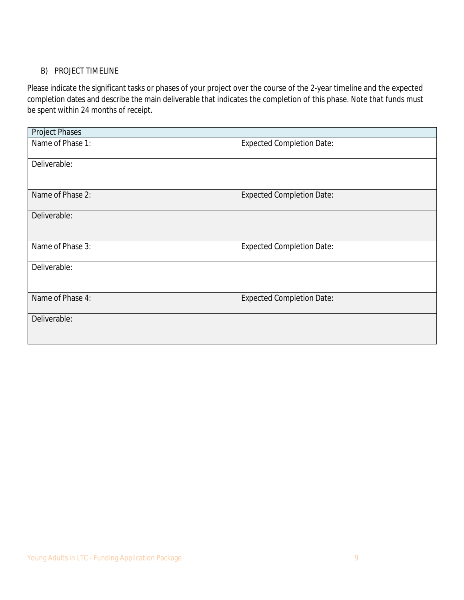## B) PROJECT TIMELINE

Please indicate the significant tasks or phases of your project over the course of the 2-year timeline and the expected completion dates and describe the main deliverable that indicates the completion of this phase. *Note that funds must be spent within 24 months of receipt.*

| <b>Project Phases</b>   |                                  |
|-------------------------|----------------------------------|
| Name of Phase 1:        | <b>Expected Completion Date:</b> |
| <b>Deliverable:</b>     |                                  |
| Name of Phase 2:        | <b>Expected Completion Date:</b> |
| <b>Deliverable:</b>     |                                  |
| <b>Name of Phase 3:</b> | <b>Expected Completion Date:</b> |
| <b>Deliverable:</b>     |                                  |
| <b>Name of Phase 4:</b> | <b>Expected Completion Date:</b> |
| Deliverable:            |                                  |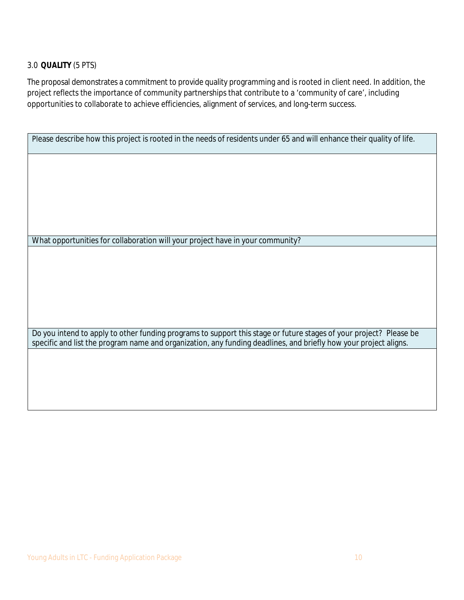### 3.0 **QUALITY** (5 PTS)

The proposal demonstrates a commitment to provide quality programming and is rooted in client need. In addition, the project reflects the importance of community partnerships that contribute to a 'community of care', including opportunities to collaborate to achieve efficiencies, alignment of services, and long-term success.

Please describe how this project is rooted in the needs of residents under 65 and will enhance their quality of life.

What opportunities for collaboration will your project have in your community?

Do you intend to apply to other funding programs to support this stage or future stages of your project? Please be specific and list the program name and organization, any funding deadlines, and briefly how your project aligns.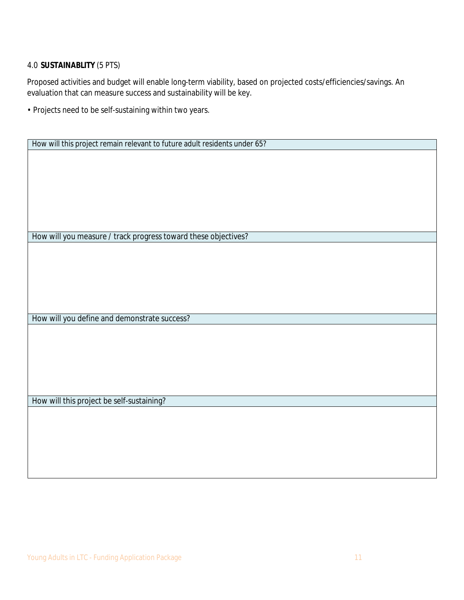## 4.0 **SUSTAINABLITY** (5 PTS)

Proposed activities and budget will enable long-term viability, based on projected costs/efficiencies/savings. An evaluation that can measure success and sustainability will be key.

• Projects need to be self-sustaining within two years.

| How will this project remain relevant to future adult residents under 65? |
|---------------------------------------------------------------------------|
|                                                                           |
|                                                                           |
|                                                                           |
|                                                                           |
|                                                                           |
|                                                                           |
|                                                                           |
|                                                                           |
|                                                                           |
| How will you measure / track progress toward these objectives?            |
|                                                                           |
|                                                                           |
|                                                                           |
|                                                                           |
|                                                                           |
|                                                                           |
|                                                                           |
| How will you define and demonstrate success?                              |
|                                                                           |
|                                                                           |
|                                                                           |
|                                                                           |
|                                                                           |
|                                                                           |
|                                                                           |
|                                                                           |
| How will this project be self-sustaining?                                 |
|                                                                           |
|                                                                           |
|                                                                           |
|                                                                           |
|                                                                           |
|                                                                           |
|                                                                           |